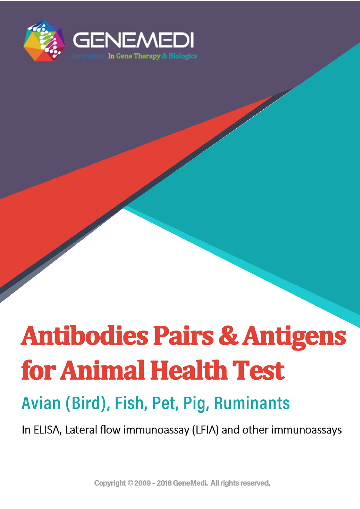

# **Antibodies Pairs & Antigens** for Animal Health Test

## Avian (Bird), Fish, Pet, Pig, Ruminants

In ELISA, Lateral flow immunoassay (LFIA) and other immunoassays

Copyright © 2009 - 2018 GeneMedi. All rights reserved.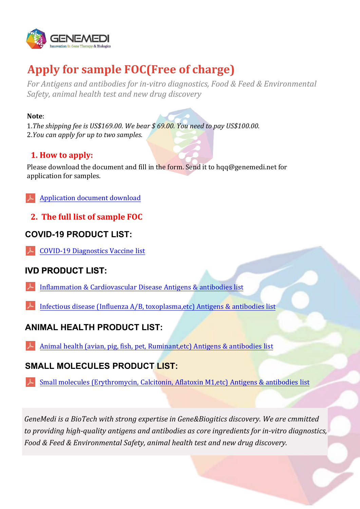

### **Apply for sample FOC(Free of charge)**

*For Antigens and antibodies for in-vitro diagnostics, Food & Feed & Environmental Safety, animal health test and new drug discovery*

#### **Note**:

1.*The shipping fee is US\$169.00. We bear \$ 69.00. You need to pay US\$100.00.* 2.*You can apply for up to two samples.*

#### **1. How to apply:**

Please download the document and fill in the form. Send it to hqq@genemedi.net for application for samples.

[Application document download](https://www.genemedi.net/pdf/sample_FOC_application_document.pdf)

**2. The full list of sample FOC**

#### **COVID-19 PRODUCT LIST:**

COVID-19 [Diagnostics](https://www.genemedi.net/pdf/COVID_Diagnostics_Vaccine_list.pdf) Vaccine list

### **IVD PRODUCT LIST:**

- Inflammation & [Cardiovascular](https://www.genemedi.net/pdf/IVD_antigens_antibodies_list-GeneMedi.pdf) Disease Antigens & antibodies list
- [Infectious disease \(Influenza A/B, toxoplasma,etc\) Antigens & antibodies list](https://www.genemedi.net/pdf/Infectious_Disease_Diagnostic_antigens_antibodies_list-GeneMedi.pdf)

### **ANIMAL HEALTH PRODUCT LIST:**

Animal health (avian, pig, fish, pet, [Ruminant,etc\)](https://www.genemedi.net/pdf/Animal_Health_Diagnostic_antigens_antibodies_list-GeneMedi.pdf) Antigens & antibodies list

### **SMALL MOLECULES PRODUCT LIST:**

Small molecules [\(Erythromycin,](https://www.genemedi.net/pdf/Small_molecules_Diagnostic_antigens_antibodies_list-GeneMedi.pdf) Calcitonin, Aflatoxin M1,etc) Antigens & antibodies list

*GeneMedi is a BioTech with strong expertise in Gene&Biogitics discovery. We are cmmitted to providing high-quality antigens and antibodies as core ingredients for in-vitro diagnostics, Food & Feed & Environmental Safety, animal health test and new drug discovery.*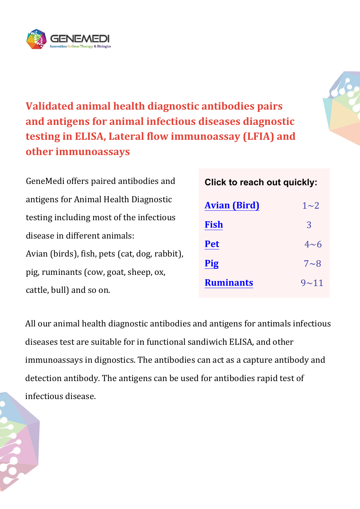



**Validated animal health diagnostic antibodies pairs and antigens for animal infectious diseases diagnostic testing in ELISA, Lateral flow immunoassay (LFIA) and other immunoassays**

GeneMedi offers paired antibodies and antigens for Animal Health Diagnostic testing including most of the infectious disease in different animals: Avian (birds), fish, pets (cat, dog, rabbit), pig, ruminants (cow, goat, sheep, ox, cattle, bull) and so on.

**Click to reach out quickly:**

| <b>Avian (Bird)</b> | $1\sim2$   |
|---------------------|------------|
| <b>Fish</b>         | 3          |
| <b>Pet</b>          | $4\n$      |
| <b>Pig</b>          | $7 \sim 8$ |
| <b>Ruminants</b>    | $9 - 11$   |

All our animal health diagnostic antibodies and antigens for antimals infectious diseases test are suitable for in functional sandiwich ELISA, and other immunoassays in dignostics. The antibodies can act as a capture antibody and detection antibody. The antigens can be used for antibodies rapid test of infectious disease.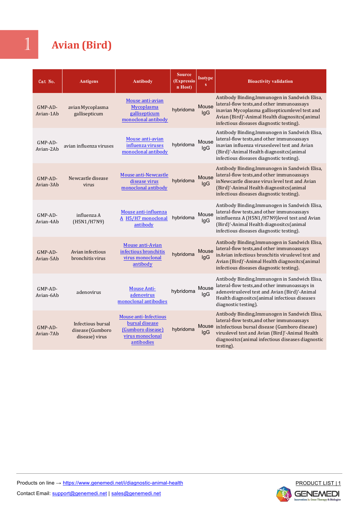### 1 **Avian (Bird)**

| Cat No.                 | <b>Antigens</b>                                         | <b>Antibody</b>                                                                                | <b>Source</b><br>(Expressio<br>n Host) | Isotype<br>s        | <b>Bioactivity validation</b>                                                                                                                                                                                                                                            |
|-------------------------|---------------------------------------------------------|------------------------------------------------------------------------------------------------|----------------------------------------|---------------------|--------------------------------------------------------------------------------------------------------------------------------------------------------------------------------------------------------------------------------------------------------------------------|
| GMP-AD-<br>Avian-1Ab    | avian Mycoplasma<br>gallisepticum                       | Mouse anti-avian<br>Mycoplasma<br>gallisepticum<br>monoclonal antibody                         | hybridoma                              | Mouse<br>IgG        | Antibody Binding, Immunogen in Sandwich Elisa,<br>lateral-flow tests, and other immunoassays<br>inavian Mycoplasma gallisepticumlevel test and<br>Avian (Bird)'-Animal Health diagnositcs(animal<br>infectious diseases diagnostic testing).                             |
| GMP-AD-<br>Avian-2Ab    | avian influenza viruses                                 | Mouse anti-avian<br>influenza viruses<br>monoclonal antibody                                   | hybridoma                              | Mouse<br>IgG        | Antibody Binding, Immunogen in Sandwich Elisa,<br>lateral-flow tests, and other immunoassays<br>inavian influenza viruseslevel test and Avian<br>(Bird)'-Animal Health diagnositcs(animal<br>infectious diseases diagnostic testing).                                    |
| $GMP-AD-$<br>Avian-3Ab  | Newcastle disease<br>virus                              | Mouse anti-Newcastle<br>disease virus<br>monoclonal antibody                                   | hybridoma                              | Mouse<br>lgG        | Antibody Binding, Immunogen in Sandwich Elisa,<br>lateral-flow tests, and other immunoassays<br>inNewcastle disease virus level test and Avian<br>(Bird)'-Animal Health diagnositcs(animal<br>infectious diseases diagnostic testing).                                   |
| $GMP-AD-$<br>Avian-4Ab  | influenza A<br>(H5N1/H7N9)                              | Mouse anti-influenza<br>A H5/H7 monoclonal<br>antibody                                         | hybridoma                              | Mouse<br>lgG        | Antibody Binding, Immunogen in Sandwich Elisa,<br>lateral-flow tests, and other immunoassays<br>ininfluenza A (H5N1/H7N9)level test and Avian<br>(Bird)'-Animal Health diagnositcs(animal<br>infectious diseases diagnostic testing).                                    |
| $GMP-AD-$<br>Avian-5Ab  | Avian infectious<br>bronchitis virus                    | Mouse anti-Avian<br>infectious bronchitis<br>virus monoclonal<br>antibody                      | hybridoma                              | Mouse<br><b>IgG</b> | Antibody Binding, Immunogen in Sandwich Elisa,<br>lateral-flow tests, and other immunoassays<br>inAvian infectious bronchitis viruslevel test and<br>Avian (Bird)'-Animal Health diagnositcs(animal<br>infectious diseases diagnostic testing).                          |
| $GMP-AD-$<br>Avian-6Ab  | adenovirus                                              | <b>Mouse Anti-</b><br>adenovirus<br>monoclonal antibodies                                      | hybridoma                              | Mouse<br>lgG        | Antibody Binding, Immunogen in Sandwich Elisa,<br>lateral-flow tests, and other immunoassays in<br>adenoviruslevel test and Avian (Bird)'-Animal<br>Health diagnositcs (animal infectious diseases<br>diagnostic testing).                                               |
| $GMP$ -AD-<br>Avian-7Ab | Infectious bursal<br>disease (Gumboro<br>disease) virus | Mouse anti-Infectious<br>bursal disease<br>(Gumboro disease)<br>virus monoclonal<br>antibodies | hybridoma                              | lgG                 | Antibody Binding, Immunogen in Sandwich Elisa,<br>lateral-flow tests, and other immunoassays<br>Mouse inInfectious bursal disease (Gumboro disease)<br>viruslevel test and Avian (Bird)'-Animal Health<br>diagnositcs(animal infectious diseases diagnostic<br>testing). |
|                         |                                                         |                                                                                                |                                        |                     |                                                                                                                                                                                                                                                                          |

<span id="page-3-0"></span>

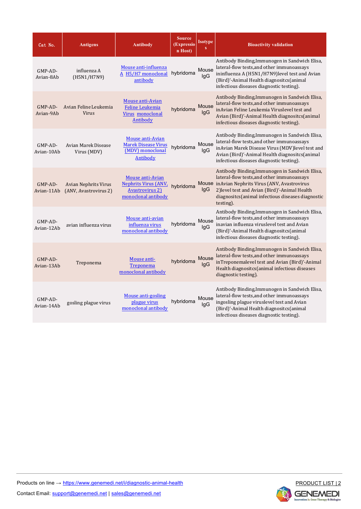| Cat No.               | <b>Antigens</b>                                      | Antibody                                                                                         | <b>Source</b><br>(Expressio<br>n Host) | <b>Isotype</b> | <b>Bioactivity validation</b>                                                                                                                                                                                                                                       |
|-----------------------|------------------------------------------------------|--------------------------------------------------------------------------------------------------|----------------------------------------|----------------|---------------------------------------------------------------------------------------------------------------------------------------------------------------------------------------------------------------------------------------------------------------------|
| GMP-AD-<br>Avian-8Ab  | influenza A<br>(H5N1/H7N9)                           | Mouse anti-influenza<br>A H5/H7 monoclonal<br>antibody                                           | hybridoma                              | Mouse<br>lgG   | Antibody Binding, Immunogen in Sandwich Elisa,<br>lateral-flow tests, and other immunoassays<br>ininfluenza A (H5N1/H7N9)level test and Avian<br>(Bird)'-Animal Health diagnositcs(animal<br>infectious diseases diagnostic testing).                               |
| GMP-AD-<br>Avian-9Ab  | Avian Feline Leukemia<br><b>Virus</b>                | Mouse anti-Avian<br>Feline Leukemia<br>Virus monoclonal<br><b>Antibody</b>                       | hybridoma                              | Mouse<br>lgG   | Antibody Binding, Immunogen in Sandwich Elisa,<br>lateral-flow tests, and other immunoassays<br>inAvian Feline Leukemia Viruslevel test and<br>Avian (Bird)'-Animal Health diagnositcs(animal<br>infectious diseases diagnostic testing).                           |
| GMP-AD-<br>Avian-10Ab | Avian Marek Disease<br>Virus (MDV)                   | <b>Mouse anti-Avian</b><br><b>Marek Disease Virus</b><br>(MDV) monoclonal<br><b>Antibody</b>     | hybridoma                              | Mouse<br>lgG   | Antibody Binding, Immunogen in Sandwich Elisa,<br>lateral-flow tests, and other immunoassays<br>inAvian Marek Disease Virus (MDV)level test and<br>Avian (Bird)'-Animal Health diagnositcs(animal<br>infectious diseases diagnostic testing).                       |
| GMP-AD-<br>Avian-11Ab | <b>Avian Nephrits Virus</b><br>(ANV, Avastrovirus 2) | <b>Mouse anti-Avian</b><br>Nephrits Virus (ANV,<br><b>Avastrovirus 2)</b><br>monoclonal antibody | hybridoma                              | lgG            | Antibody Binding, Immunogen in Sandwich Elisa,<br>lateral-flow tests, and other immunoassays<br>Mouse in Avian Nephrits Virus (ANV, Avastrovirus<br>2) level test and Avian (Bird)'-Animal Health<br>diagnositcs(animal infectious diseases diagnostic<br>testing). |
| GMP-AD-<br>Avian-12Ab | avian influenza virus                                | Mouse anti-avian<br>influenza virus<br>monoclonal antibody                                       | hybridoma                              | Mouse<br>lgG   | Antibody Binding, Immunogen in Sandwich Elisa,<br>lateral-flow tests, and other immunoassays<br>inavian influenza viruslevel test and Avian<br>(Bird)'-Animal Health diagnositcs(animal<br>infectious diseases diagnostic testing).                                 |
| GMP-AD-<br>Avian-13Ab | Treponema                                            | Mouse anti-<br>Treponema<br>monoclonal antibody                                                  | hybridoma                              | Mouse<br>lgG   | Antibody Binding, Immunogen in Sandwich Elisa,<br>lateral-flow tests, and other immunoassays<br>inTreponemalevel test and Avian (Bird)'-Animal<br>Health diagnositcs (animal infectious diseases<br>diagnostic testing).                                            |
| GMP-AD-<br>Avian-14Ab | gosling plague virus                                 | <b>Mouse anti-gosling</b><br>plague virus<br>monoclonal antibody                                 | hybridoma                              | Mouse<br>lgG   | Antibody Binding, Immunogen in Sandwich Elisa,<br>lateral-flow tests, and other immunoassays<br>ingosling plague viruslevel test and Avian<br>(Bird)'-Animal Health diagnositcs(animal<br>infectious diseases diagnostic testing).                                  |

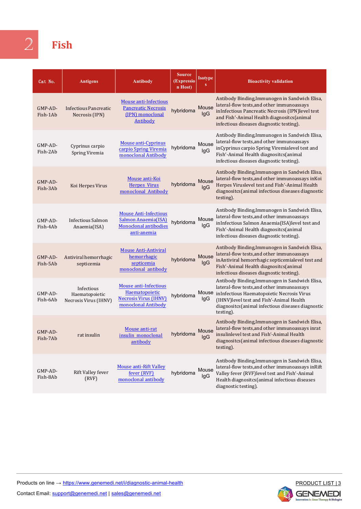<span id="page-5-0"></span>

### 2 **Fish**

| Cat No.             | <b>Antigens</b>                                       | <b>Antibody</b>                                                                                           | <b>Source</b><br>(Expressio<br>n Host) | <b>Isotype</b><br>S | <b>Bioactivity validation</b>                                                                                                                                                                                                                                  |
|---------------------|-------------------------------------------------------|-----------------------------------------------------------------------------------------------------------|----------------------------------------|---------------------|----------------------------------------------------------------------------------------------------------------------------------------------------------------------------------------------------------------------------------------------------------------|
| GMP-AD-<br>Fish-1Ab | <b>Infectious Pancreatic</b><br>Necrosis (IPN)        | <b>Mouse anti-Infectious</b><br><b>Pancreatic Necrosis</b><br>(IPN) monoclonal<br><b>Antibody</b>         | hybridoma                              | Mouse<br>lgG        | Antibody Binding, Immunogen in Sandwich Elisa,<br>lateral-flow tests, and other immunoassays<br>inInfectious Pancreatic Necrosis (IPN)level test<br>and Fish'-Animal Health diagnositcs(animal<br>infectious diseases diagnostic testing).                     |
| GMP-AD-<br>Fish-2Ab | Cyprinus carpio<br>Spring Viremia                     | Mouse anti-Cyprinus<br>carpio Spring Viremia<br>monoclonal Antibody                                       | hybridoma                              | Mouse<br>lgG        | Antibody Binding, Immunogen in Sandwich Elisa,<br>lateral-flow tests, and other immunoassays<br>inCyprinus carpio Spring Viremialevel test and<br>Fish'-Animal Health diagnositcs(animal<br>infectious diseases diagnostic testing).                           |
| GMP-AD-<br>Fish-3Ab | Koi Herpes Virus                                      | Mouse anti-Koi<br><b>Herpes Virus</b><br>monoclonal Antibody                                              | hybridoma                              | Mouse<br>lgG        | Antibody Binding, Immunogen in Sandwich Elisa,<br>lateral-flow tests, and other immunoassays in Koi<br>Herpes Viruslevel test and Fish'-Animal Health<br>diagnositcs(animal infectious diseases diagnostic<br>testing).                                        |
| GMP-AD-<br>Fish-4Ab | Infectious Salmon<br>Anaemia(ISA)                     | <b>Mouse Anti-Infectious</b><br><b>Salmon Anaemia(ISA)</b><br><b>Monoclonal antibodies</b><br>anti-anemia | hybridoma                              | Mouse<br>lgG        | Antibody Binding, Immunogen in Sandwich Elisa,<br>lateral-flow tests, and other immunoassays<br>inInfectious Salmon Anaemia(ISA)level test and<br>Fish'-Animal Health diagnositcs(animal<br>infectious diseases diagnostic testing).                           |
| GMP-AD-<br>Fish-5Ab | Antiviral hemorrhagic<br>septicemia                   | <b>Mouse Anti-Antiviral</b><br>hemorrhagic<br>septicemia<br>monoclonal antibody                           | hybridoma                              | Mouse<br>lgG        | Antibody Binding, Immunogen in Sandwich Elisa,<br>lateral-flow tests, and other immunoassays<br>inAntiviral hemorrhagic septicemialevel test and<br>Fish'-Animal Health diagnositcs(animal<br>infectious diseases diagnostic testing).                         |
| GMP-AD-<br>Fish-6Ab | Infectious<br>Haematopoietic<br>Necrosis Virus (IHNV) | Mouse anti-Infectious<br>Haematopoietic<br><b>Necrosis Virus (IHNV)</b><br>monoclonal Antibody            | hybridoma                              | lgG                 | Antibody Binding, Immunogen in Sandwich Elisa,<br>lateral-flow tests, and other immunoassays<br>Mouse inInfectious Haematopoietic Necrosis Virus<br>(IHNV)level test and Fish'-Animal Health<br>diagnositcs(animal infectious diseases diagnostic<br>testing). |
| GMP-AD-<br>Fish-7Ab | rat insulin                                           | Mouse anti-rat<br>insulin monoclonal<br>antibody                                                          | hybridoma                              | Mouse<br>lgG        | Antibody Binding, Immunogen in Sandwich Elisa,<br>lateral-flow tests, and other immunoassays inrat<br>insulinlevel test and Fish'-Animal Health<br>diagnositcs (animal infectious diseases diagnostic<br>testing).                                             |
| GMP-AD-<br>Fish-8Ab | Rift Valley fever<br>(RVF)                            | <b>Mouse anti-Rift Valley</b><br>fever (RVF)<br>monoclonal antibody                                       | hybridoma                              | Mouse<br>lgG        | Antibody Binding, Immunogen in Sandwich Elisa,<br>lateral-flow tests, and other immunoassays in Rift<br>Valley fever (RVF)level test and Fish'-Animal<br>Health diagnositcs(animal infectious diseases<br>diagnostic testing).                                 |



Contact Email: support@genemedi.net | sales@genemedi.net

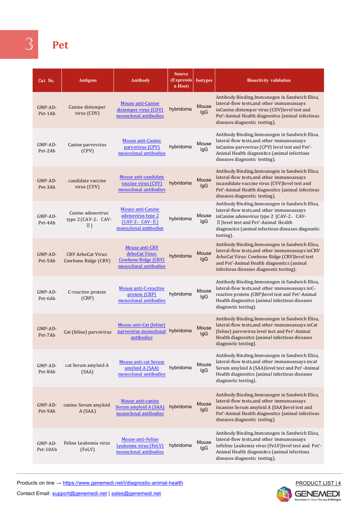### <span id="page-6-0"></span>3 **Pet**

| Cat No.             | <b>Antigens</b>                                    | <b>Antibody</b>                                                                                | Source<br>(Expressio)<br>n Host) | <b>Isotypes</b> | <b>Bioactivity validation</b>                                                                                                                                                                                                                        |
|---------------------|----------------------------------------------------|------------------------------------------------------------------------------------------------|----------------------------------|-----------------|------------------------------------------------------------------------------------------------------------------------------------------------------------------------------------------------------------------------------------------------------|
| GMP-AD-<br>Pet-1Ab  | Canine distemper<br>virus (CDV)                    | <b>Mouse anti-Canine</b><br>distemper virus (CDV)<br>monoclonal antibodies                     | hybridoma                        | Mouse<br>IgG    | Antibody Binding, Immunogen in Sandwich Elisa,<br>lateral-flow tests, and other immunoassays<br>inCanine distemper virus (CDV)level test and<br>Pet'-Animal Health diagnositcs (animal infectious<br>diseases diagnostic testing).                   |
| GMP-AD-<br>Pet-2Ab  | Canine parvovirus<br>(CPV)                         | Mouse anti-Canine<br>parvovirus (CPV)<br>monoclonal antibodies                                 | hybridoma                        | Mouse<br>IgG    | Antibody Binding, Immunogen in Sandwich Elisa,<br>lateral-flow tests, and other immunoassays<br>inCanine parvovirus (CPV) level test and Pet'-<br>Animal Health diagnositcs (animal infectious<br>diseases diagnostic testing).                      |
| GMP-AD-<br>Pet-3Ab  | candidate vaccine<br>virus (CVV)                   | Mouse anti-candidate<br>vaccine virus (CVV)<br>monoclonal antibodies                           | hybridoma                        | Mouse<br>IgG    | Antibody Binding, Immunogen in Sandwich Elisa,<br>lateral-flow tests, and other immunoassays<br>incandidate vaccine virus (CVV)level test and<br>Pet'-Animal Health diagnositcs (animal infectious<br>diseases diagnostic testing).                  |
| GMP-AD-<br>Pet-4Ab  | Canine adenovirus<br>type 2 (CAV-2, CAV-<br>$II$ ) | Mouse anti-Canine<br>adenovirus type 2<br>$(CAV-2, CAV-II)$<br>monoclonal antibodies           | hybridoma                        | Mouse<br>lgG    | Antibody Binding, Immunogen in Sandwich Elisa,<br>lateral-flow tests, and other immunoassays<br>inCanine adenovirus type 2 (CAV-2, CAV-<br>II ) level test and Pet'-Animal Health<br>diagnositcs (animal infectious diseases diagnostic<br>testing). |
| GMP-AD-<br>Pet-5Ab  | <b>CRV ArboCat Virus:</b><br>Cowbone Ridge (CRV)   | Mouse anti-CRV<br><b>ArboCat Virus:</b><br><b>Cowbone Ridge (CRV)</b><br>monoclonal antibodies | hybridoma                        | Mouse<br>IgG    | Antibody Binding, Immunogen in Sandwich Elisa,<br>lateral-flow tests, and other immunoassays inCRV<br>ArboCat Virus: Cowbone Ridge (CRV)level test<br>and Pet'-Animal Health diagnositcs (animal<br>infectious diseases diagnostic testing).         |
| GMP-AD-<br>Pet-6Ab  | C-reactive protein<br>(CRP)                        | Mouse anti-C-reactive<br>protein (CRP)<br>monoclonal antibodies                                | hybridoma                        | Mouse<br>lgG    | Antibody Binding, Immunogen in Sandwich Elisa,<br>lateral-flow tests, and other immunoassays inC-<br>reactive protein (CRP)level test and Pet'-Animal<br>Health diagnositcs (animal infectious diseases<br>diagnostic testing).                      |
| GMP-AD-<br>Pet-7Ab  | Cat (feline) parvovirus                            | Mouse anti-Cat (feline)<br>parvovirus monoclonal hybridoma<br>antibodies                       |                                  | Mouse<br>IgG    | Antibody Binding, Immunogen in Sandwich Elisa,<br>lateral-flow tests, and other immunoassays inCat<br>(feline) parvovirus level test and Pet'-Animal<br>Health diagnositcs (animal infectious diseases<br>diagnostic testing).                       |
| GMP-AD-<br>Pet-8Ab  | cat Serum amyloid A<br>(SAA)                       | <b>Mouse anti-cat Serum</b><br>amyloid A (SAA)<br>monoclonal antibodies                        | hybridoma                        | Mouse<br>lgG    | Antibody Binding, Immunogen in Sandwich Elisa,<br>lateral-flow tests, and other immunoassays incat<br>Serum amyloid A (SAA)level test and Pet'-Animal<br>Health diagnositcs (animal infectious diseases<br>diagnostic testing).                      |
| GMP-AD-<br>Pet-9Ab  | canine Serum amyloid<br>A (SAA)                    | Mouse anti-canine<br>Serum amyloid A (SAA)<br>monoclonal antibodies                            | hybridoma                        | Mouse<br>IgG    | Antibody Binding, Immunogen in Sandwich Elisa,<br>lateral-flow tests, and other immunoassays<br>incanine Serum amyloid A (SAA)level test and<br>Pet'-Animal Health diagnositcs (animal infectious<br>diseases diagnostic testing).                   |
| GMP-AD-<br>Pet-10Ab | Feline Leukemia virus<br>(FeLV)                    | Mouse anti-Feline<br>Leukemia virus (FeLV)<br>monoclonal antibodies                            | hybridoma                        | Mouse<br>lgG    | Antibody Binding, Immunogen in Sandwich Elisa,<br>lateral-flow tests, and other immunoassays<br>inFeline Leukemia virus (FeLV)level test and Pet'-<br>Animal Health diagnositcs (animal infectious<br>diseases diagnostic testing).                  |

Products on line → https://www.genemedi.net/i/diagnostic-animal-health

Contact Email: support@genemedi.net | sales@genemedi.net

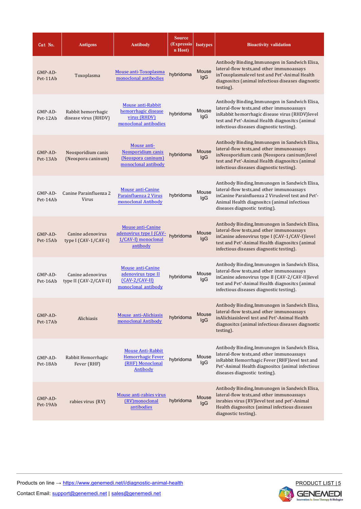| Cat No.             | <b>Antigens</b>                             | <b>Antibody</b>                                                                        | <b>Source</b><br>(Expressio)<br>n Host) | <b>Isotypes</b>     | <b>Bioactivity validation</b>                                                                                                                                                                                                                  |
|---------------------|---------------------------------------------|----------------------------------------------------------------------------------------|-----------------------------------------|---------------------|------------------------------------------------------------------------------------------------------------------------------------------------------------------------------------------------------------------------------------------------|
| GMP-AD-<br>Pet-11Ab | Toxoplasma                                  | Mouse anti-Toxoplasma<br>monoclonal antibodies                                         | hybridoma                               | Mouse<br>lgG        | Antibody Binding, Immunogen in Sandwich Elisa,<br>lateral-flow tests, and other immunoassays<br>inToxoplasmalevel test and Pet'-Animal Health<br>diagnositcs (animal infectious diseases diagnostic<br>testing).                               |
| GMP-AD-<br>Pet-12Ab | Rabbit hemorrhagic<br>disease virus (RHDV)  | Mouse anti-Rabbit<br>hemorrhagic disease<br>virus (RHDV)<br>monoclonal antibodies      | hybridoma                               | Mouse<br>lgG        | Antibody Binding, Immunogen in Sandwich Elisa,<br>lateral-flow tests, and other immunoassays<br>inRabbit hemorrhagic disease virus (RHDV)level<br>test and Pet'-Animal Health diagnositcs (animal<br>infectious diseases diagnostic testing).  |
| GMP-AD-<br>Pet-13Ab | Neosporidium canis<br>(Neospora caninum)    | Mouse anti-<br>Neosporidium canis<br>(Neospora caninum)<br>monoclonal antibody         | hybridoma                               | <b>Mouse</b><br>lgG | Antibody Binding, Immunogen in Sandwich Elisa,<br>lateral-flow tests, and other immunoassays<br>inNeosporidium canis (Neospora caninum)level<br>test and Pet'-Animal Health diagnositcs (animal<br>infectious diseases diagnostic testing).    |
| GMP-AD-<br>Pet-14Ab | Canine Parainfluenza 2<br>Virus             | Mouse anti-Canine<br>Parainfluenza 2 Virus<br>monoclonal Antibody                      | hybridoma                               | Mouse<br>IgG        | Antibody Binding, Immunogen in Sandwich Elisa,<br>lateral-flow tests, and other immunoassays<br>inCanine Parainfluenza 2 Viruslevel test and Pet'-<br>Animal Health diagnositcs (animal infectious<br>diseases diagnostic testing).            |
| GMP-AD-<br>Pet-15Ab | Canine adenovirus<br>type I (CAV-1/CAV-I)   | <b>Mouse anti-Canine</b><br>adenovirus type I (CAV-<br>1/CAV-I) monoclonal<br>antibody | hybridoma                               | Mouse<br>lgG        | Antibody Binding, Immunogen in Sandwich Elisa,<br>lateral-flow tests, and other immunoassays<br>inCanine adenovirus type I (CAV-1/CAV-I)level<br>test and Pet'-Animal Health diagnositcs (animal<br>infectious diseases diagnostic testing).   |
| GMP-AD-<br>Pet-16Ab | Canine adenovirus<br>type II (CAV-2/CAV-II) | Mouse anti-Canine<br>adenovirus type II<br>$(CAV-2/CAV-II)$<br>monoclonal antibody     | hybridoma                               | Mouse<br>lgG        | Antibody Binding, Immunogen in Sandwich Elisa,<br>lateral-flow tests, and other immunoassays<br>inCanine adenovirus type II (CAV-2/CAV-II)level<br>test and Pet'-Animal Health diagnositcs (animal<br>infectious diseases diagnostic testing). |
| GMP-AD-<br>Pet-17Ab | Alichiasis                                  | Mouse anti-Alichiasis<br>monoclonal Antibody                                           | hybridoma                               | Mouse<br>IgG        | Antibody Binding, Immunogen in Sandwich Elisa,<br>lateral-flow tests, and other immunoassays<br>inAlichiasislevel test and Pet'-Animal Health<br>diagnositcs (animal infectious diseases diagnostic<br>testing).                               |
| GMP-AD-<br>Pet-18Ab | Rabbit Hemorrhagic<br>Fever (RHF)           | <b>Mouse Anti-Rabbit</b><br>Hemorrhagic Fever<br>(RHF) Monoclonal<br>Antibody          | hybridoma                               | Mouse<br>IgG        | Antibody Binding, Immunogen in Sandwich Elisa,<br>lateral-flow tests, and other immunoassays<br>inRabbit Hemorrhagic Fever (RHF)level test and<br>Pet'-Animal Health diagnositcs (animal infectious<br>diseases diagnostic testing).           |
| GMP-AD-<br>Pet-19Ab | rabies virus (RV)                           | Mouse anti-rabies virus<br>(RV)monoclonal<br>antibodies                                | hybridoma                               | Mouse<br>IgG.       | Antibody Binding, Immunogen in Sandwich Elisa,<br>lateral-flow tests, and other immunoassays<br>inrabies virus (RV)level test and pet'-Animal<br>Health diagnositcs (animal infectious diseases<br>diagnostic testing).                        |



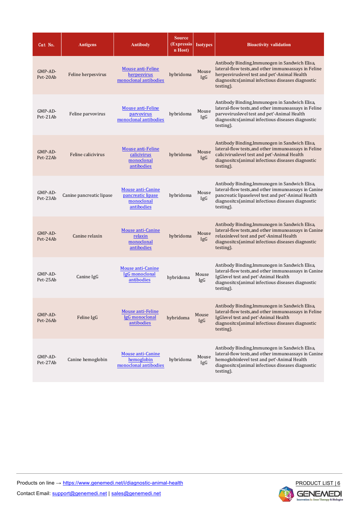| Cat No.               | <b>Antigens</b>          | <b>Antibody</b>                                                    | <b>Source</b><br>(Expressio)<br>n Host) | <b>Isotypes</b> | <b>Bioactivity validation</b>                                                                                                                                                                                                  |
|-----------------------|--------------------------|--------------------------------------------------------------------|-----------------------------------------|-----------------|--------------------------------------------------------------------------------------------------------------------------------------------------------------------------------------------------------------------------------|
| $GMP-AD-$<br>Pet-20Ab | Feline herpesvirus       | Mouse anti-Feline<br>herpesvirus<br>monoclonal antibodies          | hybridoma                               | Mouse<br>IgG    | Antibody Binding, Immunogen in Sandwich Elisa,<br>lateral-flow tests, and other immunoassays in Feline<br>herpesviruslevel test and pet'-Animal Health<br>diagnositcs(animal infectious diseases diagnostic<br>testing).       |
| GMP-AD-<br>Pet-21Ab   | Feline parvovirus        | Mouse anti-Feline<br>parvovirus<br>monoclonal antibodies           | hybridoma                               | Mouse<br>IgG    | Antibody Binding, Immunogen in Sandwich Elisa,<br>lateral-flow tests, and other immunoassays in Feline<br>parvoviruslevel test and pet'-Animal Health<br>diagnositcs(animal infectious diseases diagnostic<br>testing).        |
| $GMP-AD-$<br>Pet-22Ab | Feline calicivirus       | Mouse anti-Feline<br>calicivirus<br>monoclonal<br>antibodies       | hybridoma                               | Mouse<br>IgG    | Antibody Binding, Immunogen in Sandwich Elisa,<br>lateral-flow tests, and other immunoassays in Feline<br>caliciviruslevel test and pet'-Animal Health<br>diagnositcs(animal infectious diseases diagnostic<br>testing).       |
| GMP-AD-<br>Pet-23Ab   | Canine pancreatic lipase | Mouse anti-Canine<br>pancreatic lipase<br>monoclonal<br>antibodies | hybridoma                               | Mouse<br>IgG    | Antibody Binding, Immunogen in Sandwich Elisa,<br>lateral-flow tests, and other immunoassays in Canine<br>pancreatic lipaselevel test and pet'-Animal Health<br>diagnositcs(animal infectious diseases diagnostic<br>testing). |
| GMP-AD-<br>Pet-24Ab   | Canine relaxin           | Mouse anti-Canine<br>relaxin<br>monoclonal<br>antibodies           | hybridoma                               | Mouse<br>IgG    | Antibody Binding, Immunogen in Sandwich Elisa,<br>lateral-flow tests, and other immunoassays in Canine<br>relaxinlevel test and pet'-Animal Health<br>diagnositcs(animal infectious diseases diagnostic<br>testing).           |
| GMP-AD-<br>Pet-25Ab   | Canine IgG               | Mouse anti-Canine<br>IgG monoclonal<br>antibodies                  | hybridoma                               | Mouse<br>IgG    | Antibody Binding, Immunogen in Sandwich Elisa,<br>lateral-flow tests, and other immunoassays in Canine<br>IgGlevel test and pet'-Animal Health<br>diagnositcs(animal infectious diseases diagnostic<br>testing).               |
| GMP-AD-<br>Pet-26Ab   | Feline IgG               | Mouse anti-Feline<br>IgG monoclonal<br>antibodies                  | hybridoma                               | Mouse<br>IgG    | Antibody Binding, Immunogen in Sandwich Elisa,<br>lateral-flow tests, and other immunoassays in Feline<br>IgGlevel test and pet'-Animal Health<br>diagnositcs(animal infectious diseases diagnostic<br>testing).               |
| GMP-AD-<br>Pet-27Ab   | Canine hemoglobin        | Mouse anti-Canine<br>hemoglobin<br>monoclonal antibodies           | hybridoma                               | Mouse<br>IgG    | Antibody Binding, Immunogen in Sandwich Elisa,<br>lateral-flow tests, and other immunoassays in Canine<br>hemoglobinlevel test and pet'-Animal Health<br>diagnositcs(animal infectious diseases diagnostic<br>testing).        |



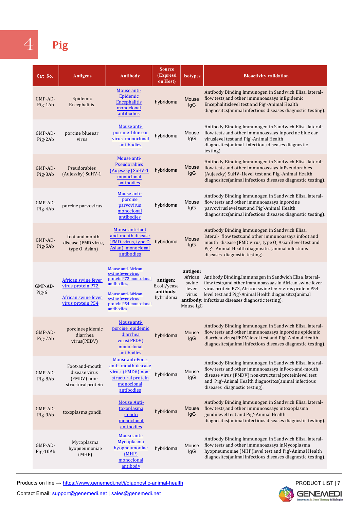<span id="page-9-0"></span>

### 4 **Pig**

| Cat No.             | <b>Antigens</b>                                                                       | <b>Antibody</b>                                                                                                                                                            | <b>Source</b><br>(Expressi<br>on Host)             | <b>Isotypes</b>                                  | <b>Bioactivity validation</b>                                                                                                                                                                                                                                                                          |
|---------------------|---------------------------------------------------------------------------------------|----------------------------------------------------------------------------------------------------------------------------------------------------------------------------|----------------------------------------------------|--------------------------------------------------|--------------------------------------------------------------------------------------------------------------------------------------------------------------------------------------------------------------------------------------------------------------------------------------------------------|
| GMP-AD-<br>Pig-1Ab  | Epidemic<br>Encephalitis                                                              | Mouse anti-<br>Epidemic<br>Encephalitis<br>monoclonal<br>antibodies                                                                                                        | hybridoma                                          | Mouse<br>IgG                                     | Antibody Binding, Immunogen in Sandwich Elisa, lateral-<br>flow tests, and other immunoassays in Epidemic<br>Encephalitislevel test and Pig'-Animal Health<br>diagnositcs(animal infectious diseases diagnostic testing).                                                                              |
| GMP-AD-<br>Pig-2Ab  | porcine blue ear<br>virus                                                             | Mouse anti-<br>porcine blue ear<br>virus monoclonal<br>antibodies                                                                                                          | hybridoma                                          | Mouse<br>lgG                                     | Antibody Binding, Immunogen in Sandwich Elisa, lateral-<br>flow tests, and other immunoassays inporcine blue ear<br>viruslevel test and Pig'-Animal Health<br>diagnositcs(animal infectious diseases diagnostic<br>testing).                                                                           |
| GMP-AD-<br>Pig-3Ab  | Pseudorabies<br>(Aujeszky) SuHV-1                                                     | Mouse anti-<br><b>Pseudorabies</b><br>(Aujeszky) SuHV-1<br>monoclonal<br>antibodies                                                                                        | hybridoma                                          | Mouse<br>IgG                                     | Antibody Binding, Immunogen in Sandwich Elisa, lateral-<br>flow tests, and other immunoassays in Pseudorabies<br>(Aujeszky) SuHV-1level test and Pig'-Animal Health<br>diagnositcs(animal infectious diseases diagnostic testing).                                                                     |
| GMP-AD-<br>Pig-4Ab  | porcine parvovirus                                                                    | Mouse anti-<br>porcine<br>parvovirus<br>monoclonal<br>antibodies                                                                                                           | hybridoma                                          | Mouse<br>IgG                                     | Antibody Binding, Immunogen in Sandwich Elisa, lateral-<br>flow tests, and other immunoassays inporcine<br>parvoviruslevel test and Pig'-Animal Health<br>diagnositcs(animal infectious diseases diagnostic testing).                                                                                  |
| GMP-AD-<br>Pig-5Ab  | foot and mouth<br>disease (FMD virus,<br>type O, Asian)                               | Mouse anti-foot<br>and mouth disease<br>(FMD virus, type O,<br>Asian) monoclonal<br>antibodies                                                                             | hybridoma                                          | Mouse<br>IgG                                     | Antibody Binding, Immunogen in Sandwich Elisa,<br>lateral- flow tests, and other immunoassays infoot and<br>mouth disease (FMD virus, type O, Asian)level test and<br>Pig'- Animal Health diagnositcs (animal infectious<br>diseases diagnostic testing).                                              |
| GMP-AD-<br>Pig-6    | African swine fever<br>virus protein P72,<br>African swine fever<br>virus protein P54 | Mouse anti-African<br>swine fever virus<br>protein P72 monoclonal<br>antibodies,<br><b>Mouse anti-African</b><br>swine fever virus<br>protein P54 monoclonal<br>antibodies | antigen:<br>E.coli/yease<br>antibody:<br>hybridoma | antigen:<br>swine<br>fever<br>virus<br>Mouse IgG | African Antibody Binding, Immunogen in Sandwich Elisa, lateral-<br>flow tests, and other immunoassays in African swine fever<br>virus protein P72, African swine fever virus protein P54<br>level test and Pig'-Animal Health diagnositcs(animal<br>antibody: infectious diseases diagnostic testing). |
| GMP-AD-<br>Pig-7Ab  | porcine epidemic<br>diarrhea<br>virus(PEDV)                                           | Mouse anti-<br>porcine epidemic<br>diarrhea<br>virus(PEDV)<br>monoclonal<br>antibodies                                                                                     | hybridoma                                          | Mouse<br>IgG                                     | Antibody Binding, Immunogen in Sandwich Elisa, lateral-<br>flow tests, and other immunoassays inporcine epidemic<br>diarrhea virus(PEDV)level test and Pig'-Animal Health<br>diagnositcs(animal infectious diseases diagnostic testing).                                                               |
| GMP-AD-<br>Pig-8Ab  | Foot-and-mouth<br>disease virus<br>(FMDV) non-<br>structural protein                  | Mouse anti-Foot-<br>and- mouth disease<br>virus (FMDV) non-<br>structural protein<br>monoclonal<br>antibodies                                                              | hybridoma                                          | Mouse<br>lgG                                     | Antibody Binding, Immunogen in Sandwich Elisa, lateral-<br>flow tests, and other immunoassays in Foot-and-mouth<br>disease virus (FMDV) non-structural proteinlevel test<br>and Pig'-Animal Health diagnositcs(animal infectious<br>diseases diagnostic testing).                                      |
| GMP-AD-<br>Pig-9Ab  | toxoplasma gondii                                                                     | <b>Mouse Anti-</b><br>toxoplasma<br>gondii<br>monoclonal<br>antibodies                                                                                                     | hybridoma                                          | Mouse<br>IgG                                     | Antibody Binding, Immunogen in Sandwich Elisa, lateral-<br>flow tests, and other immunoassays intoxoplasma<br>gondiilevel test and Pig'-Animal Health<br>diagnositcs(animal infectious diseases diagnostic testing).                                                                                   |
| GMP-AD-<br>Pig-10Ab | Mycoplasma<br>hyopneumoniae<br>(MHP)                                                  | Mouse anti-<br>Mycoplasma<br><u>hyopneumoniae</u><br>(MHP)<br>monoclonal<br>antibody                                                                                       | hybridoma                                          | Mouse<br>lgG                                     | Antibody Binding, Immunogen in Sandwich Elisa, lateral-<br>flow tests, and other immunoassays in Mycoplasma<br>hyopneumoniae (MHP)level test and Pig'-Animal Health<br>diagnositcs(animal infectious diseases diagnostic testing).                                                                     |

Products on line → https://www.genemedi.net/i/diagnostic-animal-health

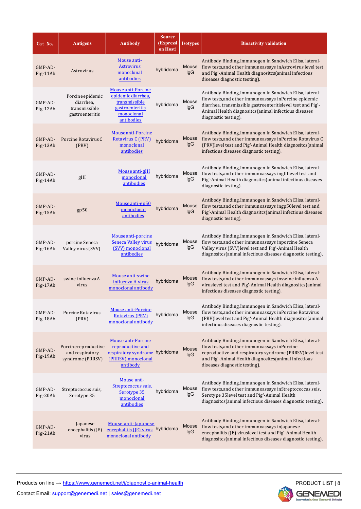| Cat No.               | <b>Antigens</b>                                                   | <b>Antibody</b>                                                                                                   | <b>Source</b><br>(Expressi<br>on Host) | <b>Isotypes</b> | <b>Bioactivity validation</b>                                                                                                                                                                                                                                     |
|-----------------------|-------------------------------------------------------------------|-------------------------------------------------------------------------------------------------------------------|----------------------------------------|-----------------|-------------------------------------------------------------------------------------------------------------------------------------------------------------------------------------------------------------------------------------------------------------------|
| GMP-AD-<br>Pig-11Ab   | Astrovirus                                                        | Mouse anti-<br><b>Astrovirus</b><br>monoclonal<br>antibodies                                                      | hybridoma                              | Mouse<br>lgG    | Antibody Binding, Immunogen in Sandwich Elisa, lateral-<br>flow tests, and other immunoassays in Astrovirus level test<br>and Pig'-Animal Health diagnositcs(animal infectious<br>diseases diagnostic testing).                                                   |
| GMP-AD-<br>Pig-12Ab   | Porcine epidemic<br>diarrhea,<br>transmissible<br>gastroenteritis | Mouse anti-Porcine<br>epidemic diarrhea,<br>transmissible<br>gastroenteritis<br>monoclonal<br>antibodies          | hybridoma                              | Mouse<br>IgG    | Antibody Binding, Immunogen in Sandwich Elisa, lateral-<br>flow tests, and other immunoassays in Porcine epidemic<br>diarrhea, transmissible gastroenteritislevel test and Pig'-<br>Animal Health diagnositcs (animal infectious diseases<br>diagnostic testing). |
| GMP-AD-<br>Pig-13Ab   | Porcine Rotavirus C<br>(PRV)                                      | Mouse anti-Porcine<br><b>Rotavirus C (PRV)</b><br>monoclonal<br>antibodies                                        | hybridoma                              | Mouse<br>IgG    | Antibody Binding, Immunogen in Sandwich Elisa, lateral-<br>flow tests, and other immunoassays in Porcine Rotavirus C<br>(PRV)level test and Pig'-Animal Health diagnositcs(animal<br>infectious diseases diagnostic testing).                                     |
| $GMP-AD-$<br>Pig-14Ab | gIII                                                              | Mouse anti-gIII<br>monoclonal<br>antibodies                                                                       | hybridoma                              | Mouse<br>lgG    | Antibody Binding, Immunogen in Sandwich Elisa, lateral-<br>flow tests, and other immunoassays ingIIIlevel test and<br>Pig'-Animal Health diagnositcs(animal infectious diseases<br>diagnostic testing).                                                           |
| GMP-AD-<br>Pig-15Ab   | gp50                                                              | Mouse anti-gp50<br>monoclonal<br>antibodies                                                                       | hybridoma                              | Mouse<br>lgG    | Antibody Binding, Immunogen in Sandwich Elisa, lateral-<br>flow tests, and other immunoassays ingp50level test and<br>Pig'-Animal Health diagnositcs(animal infectious diseases<br>diagnostic testing).                                                           |
| GMP-AD-<br>Pig-16Ab   | porcine Seneca<br>Valley virus (SVV)                              | Mouse anti-porcine<br><b>Seneca Valley virus</b><br>(SVV) monoclonal<br>antibodies                                | hybridoma                              | Mouse<br>lgG    | Antibody Binding, Immunogen in Sandwich Elisa, lateral-<br>flow tests, and other immunoassays inporcine Seneca<br>Valley virus (SVV)level test and Pig'-Animal Health<br>diagnositcs(animal infectious diseases diagnostic testing).                              |
| $GMP-AD-$<br>Pig-17Ab | swine influenza A<br>virus                                        | <b>Mouse anti-swine</b><br>influenza A virus<br>monoclonal antibody                                               | hybridoma                              | Mouse<br>lgG    | Antibody Binding, Immunogen in Sandwich Elisa, lateral-<br>flow tests, and other immunoassays inswine influenza A<br>viruslevel test and Pig'-Animal Health diagnositcs(animal<br>infectious diseases diagnostic testing).                                        |
| GMP-AD-<br>Pig-18Ab   | Porcine Rotavirus<br>(PRV)                                        | <b>Mouse anti-Porcine</b><br><b>Rotavirus (PRV)</b><br>monoclonal antibody                                        | hybridoma                              | Mouse<br>IgG    | Antibody Binding, Immunogen in Sandwich Elisa, lateral-<br>flow tests, and other immunoassays in Porcine Rotavirus<br>(PRV) level test and Pig'-Animal Health diagnositcs (animal<br>infectious diseases diagnostic testing).                                     |
| GMP-AD-<br>Pig-19Ab   | Porcine reproductive<br>and respiratory<br>syndrome (PRRSV)       | <b>Mouse anti-Porcine</b><br>reproductive and<br>respiratory syndrome hybridoma<br>(PRRSV) monoclonal<br>antibody |                                        | Mouse<br>lgG    | Antibody Binding, Immunogen in Sandwich Elisa, lateral-<br>flow tests, and other immunoassays in Porcine<br>reproductive and respiratory syndrome (PRRSV)level test<br>and Pig'-Animal Health diagnositcs(animal infectious<br>diseases diagnostic testing).      |
| GMP-AD-<br>Pig-20Ab   | Streptococcus suis,<br>Serotype 35                                | Mouse anti-<br>Streptococcus suis,<br>Serotype 35<br>monoclonal<br>antibodies                                     | hybridoma                              | Mouse<br>lgG    | Antibody Binding, Immunogen in Sandwich Elisa, lateral-<br>flow tests, and other immunoassays in Streptococcus suis,<br>Serotype 35level test and Pig'-Animal Health<br>diagnositcs(animal infectious diseases diagnostic testing).                               |
| GMP-AD-<br>Pig-21Ab   | Japanese<br>encephalitis (JE)<br>virus                            | Mouse anti-Japanese<br>encephalitis (JE) virus hybridoma<br>monoclonal antibody                                   |                                        | Mouse<br>lgG    | Antibody Binding, Immunogen in Sandwich Elisa, lateral-<br>flow tests, and other immunoassays in Japanese<br>encephalitis (JE) viruslevel test and Pig'-Animal Health<br>diagnositcs(animal infectious diseases diagnostic testing).                              |

Products on line → https://www.genemedi.net/i/diagnostic-animal-health

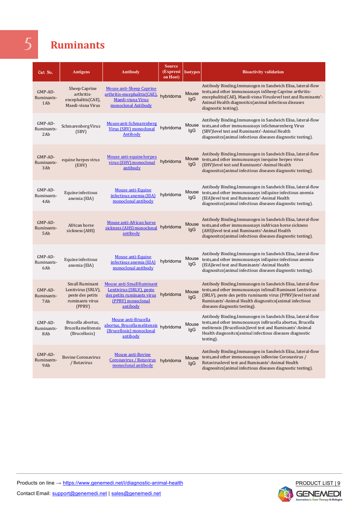### <span id="page-11-0"></span>5 **Ruminants**

| Cat No.                        | <b>Antigens</b>                                                                              | <b>Antibody</b>                                                                                                             | <b>Source</b><br>(Expressi<br>on Host) | <b>Isotypes</b> | <b>Bioactivity validation</b>                                                                                                                                                                                                                                                          |
|--------------------------------|----------------------------------------------------------------------------------------------|-----------------------------------------------------------------------------------------------------------------------------|----------------------------------------|-----------------|----------------------------------------------------------------------------------------------------------------------------------------------------------------------------------------------------------------------------------------------------------------------------------------|
| GMP-AD-<br>Ruminants-<br>1Ab   | Sheep Caprine<br>arthritis-<br>encephalitis(CAE),<br>Maedi-visna Virus                       | <b>Mouse anti-Sheep Caprine</b><br>arthritis-encephalitis(CAE),<br>Maedi-visna Virus<br>monoclonal Antibody                 | hybridoma                              | Mouse<br>lgG    | Antibody Binding, Immunogen in Sandwich Elisa, lateral-flow<br>tests, and other immunoassays in Sheep Caprine arthritis-<br>encephalitis (CAE), Maedi-visna Viruslevel test and Ruminants'-<br>Animal Health diagnositcs(animal infectious diseases<br>diagnostic testing).            |
| GMP-AD-<br>Ruminants-<br>2Ab   | Schmarenberg Virus<br>(SBV)                                                                  | Mouse anti-Schmarenberg<br>Virus (SBV) monoclonal<br>Antibody                                                               | hybridoma                              | Mouse<br>lgG    | Antibody Binding, Immunogen in Sandwich Elisa, lateral-flow<br>tests, and other immunoassays in Schmarenberg Virus<br>(SBV) level test and Ruminants'-Animal Health<br>diagnositcs (animal infectious diseases diagnostic testing).                                                    |
| GMP-AD-<br>Ruminants-<br>3Ab   | equine herpes virus<br>(EHV)                                                                 | Mouse anti-equine herpes<br>virus (EHV) monoclonal<br>antibody                                                              | hybridoma                              | Mouse<br>lgG    | Antibody Binding, Immunogen in Sandwich Elisa, lateral-flow<br>tests, and other immunoassays inequine herpes virus<br>(EHV) level test and Ruminants'-Animal Health<br>diagnositcs (animal infectious diseases diagnostic testing).                                                    |
| GMP-AD-<br>Ruminants-<br>4Ab   | Equine infectious<br>anemia (EIA)                                                            | <b>Mouse anti-Equine</b><br>infectious anemia (EIA)<br>monoclonal antibody                                                  | hybridoma                              | Mouse<br>lgG    | Antibody Binding, Immunogen in Sandwich Elisa, lateral-flow<br>tests, and other immunoassays in Equine infectious anemia<br>(EIA) level test and Ruminants'-Animal Health<br>diagnositcs(animal infectious diseases diagnostic testing).                                               |
| GMP-AD-<br>Ruminants-<br>5Ab   | African horse<br>sickness (AHS)                                                              | Mouse anti-African horse<br>sickness (AHS) monoclonal<br>antibody                                                           | hybridoma                              | Mouse<br>lgG    | Antibody Binding, Immunogen in Sandwich Elisa, lateral-flow<br>tests, and other immunoassays in African horse sickness<br>(AHS) level test and Ruminants'-Animal Health<br>diagnositcs (animal infectious diseases diagnostic testing).                                                |
| GMP-AD-<br>Ruminants-<br>6Ab   | Equine infectious<br>anemia (EIA)                                                            | Mouse anti-Equine<br>infectious anemia (EIA)<br>monoclonal antibody                                                         | hybridoma                              | Mouse<br>lgG    | Antibody Binding, Immunogen in Sandwich Elisa, lateral-flow<br>tests, and other immunoassays in Equine infectious anemia<br>(EIA)level test and Ruminants'-Animal Health<br>diagnositcs (animal infectious diseases diagnostic testing).                                               |
| GMP-AD-<br>Ruminants-<br>7Ab   | <b>Small Ruminant</b><br>Lentivirus (SRLV),<br>peste des petits<br>ruminants virus<br>(PPRV) | <b>Mouse anti-Small Ruminant</b><br>Lentivirus (SRLV), peste<br>des petits ruminants virus<br>(PPRV) monoclonal<br>antibody | hybridoma                              | Mouse<br>lgG    | Antibody Binding, Immunogen in Sandwich Elisa, lateral-flow<br>tests, and other immunoassays in Small Ruminant Lentivirus<br>(SRLV), peste des petits ruminants virus (PPRV) level test and<br>Ruminants'-Animal Health diagnositcs(animal infectious<br>diseases diagnostic testing). |
| $GMP-AD-$<br>Ruminants-<br>8Ab | Brucella abortus.<br>Brucella melitensis<br>(Brucellosis)                                    | <b>Mouse anti-Brucella</b><br>abortus, Brucella melitensis<br>(Brucellosis) monoclonal<br>antibody                          | hybridoma                              | Mouse<br>lgG    | Antibody Binding, Immunogen in Sandwich Elisa, lateral-flow<br>tests, and other immunoassays in Brucella abortus, Brucella<br>melitensis (Brucellosis)level test and Ruminants'-Animal<br>Health diagnositcs (animal infectious diseases diagnostic<br>testing).                       |
| GMP-AD-<br>Ruminants-<br>9Ab   | <b>Bovine Coronavirus</b><br>/ Rotavirus                                                     | <b>Mouse anti-Bovine</b><br>Coronavirus / Rotavirus<br>monoclonal antibody                                                  | hybridoma                              | Mouse<br>lgG    | Antibody Binding, Immunogen in Sandwich Elisa, lateral-flow<br>tests, and other immunoassays in Bovine Coronavirus /<br>Rotaviruslevel test and Ruminants'-Animal Health<br>diagnositcs (animal infectious diseases diagnostic testing).                                               |



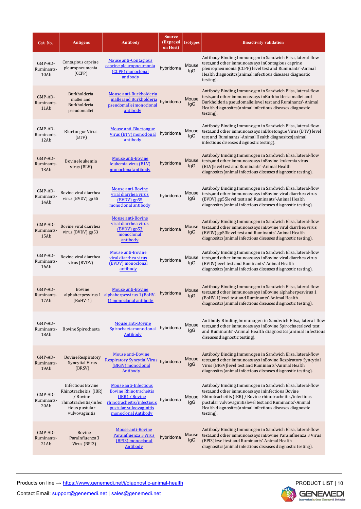| Cat No.                       | <b>Antigens</b>                                                                                                            | <b>Antibody</b>                                                                                                                                                 | <b>Source</b><br>(Expressi<br>on Host) | <b>Isotypes</b> | <b>Bioactivity validation</b>                                                                                                                                                                                                                                                                                      |
|-------------------------------|----------------------------------------------------------------------------------------------------------------------------|-----------------------------------------------------------------------------------------------------------------------------------------------------------------|----------------------------------------|-----------------|--------------------------------------------------------------------------------------------------------------------------------------------------------------------------------------------------------------------------------------------------------------------------------------------------------------------|
| GMP-AD-<br>Ruminants-<br>10Ab | Contagious caprine<br>pleuropneumonia<br>(CCPP)                                                                            | <b>Mouse anti-Contagious</b><br>caprine pleuropneumonia<br>(CCPP) monoclonal<br>antibody                                                                        | hybridoma                              | Mouse<br>IgG    | Antibody Binding, Immunogen in Sandwich Elisa, lateral-flow<br>tests, and other immunoassays in Contagious caprine<br>pleuropneumonia (CCPP) level test and Ruminants'-Animal<br>Health diagnositcs(animal infectious diseases diagnostic<br>testing).                                                             |
| GMP-AD-<br>Ruminants-<br>11Ab | Burkholderia<br>mallei and<br>Burkholderia<br>pseudomallei                                                                 | Mouse anti-Burkholderia<br>mallei and Burkholderia<br>pseudomallei monoclonal<br>antibody                                                                       | hybridoma                              | Mouse<br>lgG    | Antibody Binding, Immunogen in Sandwich Elisa, lateral-flow<br>tests, and other immunoassays in Burkholderia mallei and<br>Burkholderia pseudomalleilevel test and Ruminants'-Animal<br>Health diagnositcs (animal infectious diseases diagnostic<br>testing).                                                     |
| GMP-AD-<br>Ruminants-<br>12Ab | <b>Bluetongue Virus</b><br>(BTV)                                                                                           | <b>Mouse anti-Bluetongue</b><br>Virus (BTV) monoclonal<br>antibody                                                                                              | hybridoma                              | Mouse<br>lgG    | Antibody Binding, Immunogen in Sandwich Elisa, lateral-flow<br>tests, and other immunoassays in Bluetongue Virus (BTV) level<br>test and Ruminants'-Animal Health diagnositcs(animal<br>infectious diseases diagnostic testing).                                                                                   |
| GMP-AD-<br>Ruminants-<br>13Ab | Bovine leukemia<br>virus (BLV)                                                                                             | <b>Mouse anti-Bovine</b><br>leukemia virus (BLV)<br>monoclonal antibody                                                                                         | hybridoma                              | Mouse<br>lgG    | Antibody Binding, Immunogen in Sandwich Elisa, lateral-flow<br>tests, and other immunoassays in Bovine leukemia virus<br>(BLV) level test and Ruminants'-Animal Health<br>diagnositcs(animal infectious diseases diagnostic testing).                                                                              |
| GMP-AD-<br>Ruminants-<br>14Ab | Bovine viral diarrhea<br>virus (BVDV) gp55                                                                                 | <b>Mouse anti-Bovine</b><br>viral diarrhea virus<br>(BVDV) gp55<br>monoclonal antibody                                                                          | hybridoma                              | Mouse<br>lgG    | Antibody Binding, Immunogen in Sandwich Elisa, lateral-flow<br>tests, and other immunoassays in Bovine viral diarrhea virus<br>(BVDV) gp55level test and Ruminants'-Animal Health<br>diagnositcs(animal infectious diseases diagnostic testing).                                                                   |
| GMP-AD-<br>Ruminants-<br>15Ab | Bovine viral diarrhea<br>virus (BVDV) gp53                                                                                 | <b>Mouse anti-Bovine</b><br>viral diarrhea virus<br>$(BVDV)$ gp53<br>monoclonal<br>antibody                                                                     | hybridoma                              | Mouse<br>lgG    | Antibody Binding, Immunogen in Sandwich Elisa, lateral-flow<br>tests, and other immunoassays in Bovine viral diarrhea virus<br>(BVDV) gp53level test and Ruminants'-Animal Health<br>diagnositcs(animal infectious diseases diagnostic testing).                                                                   |
| GMP-AD-<br>Ruminants-<br>16Ab | Bovine viral diarrhea<br>virus (BVDV)                                                                                      | <b>Mouse anti-Bovine</b><br>viral diarrhea virus<br>(BVDV) monoclonal<br>antibody                                                                               | hybridoma                              | Mouse<br>lgG    | Antibody Binding, Immunogen in Sandwich Elisa, lateral-flow<br>tests, and other immunoassays in Bovine viral diarrhea virus<br>(BVDV)level test and Ruminants'-Animal Health<br>diagnositcs(animal infectious diseases diagnostic testing).                                                                        |
| GMP-AD-<br>Ruminants-<br>17Ab | Bovine<br>alphaherpesvirus 1<br>$(BoHV-1)$                                                                                 | <b>Mouse anti-Bovine</b><br>alphaherpesvirus 1 (BoHV-<br>1) monoclonal antibody                                                                                 | hybridoma                              | Mouse<br>lgG    | Antibody Binding, Immunogen in Sandwich Elisa, lateral-flow<br>tests, and other immunoassays in Bovine alphaherpesvirus 1<br>(BoHV-1)level test and Ruminants'-Animal Health<br>diagnositcs(animal infectious diseases diagnostic testing).                                                                        |
| GMP-AD-<br>Ruminants-<br>18Ab | Bovine Spirochaeta                                                                                                         | <b>Mouse anti-Bovine</b><br>Spirochaeta monoclonal<br><b>Antibody</b>                                                                                           | hybridoma                              | Mouse<br>lgG    | Antibody Binding, Immunogen in Sandwich Elisa, lateral-flow<br>tests, and other immunoassays in Bovine Spirochaetalevel test<br>and Ruminants'-Animal Health diagnositcs(animal infectious<br>diseases diagnostic testing).                                                                                        |
| GMP-AD-<br>Ruminants-<br>19Ab | <b>Bovine Respiratory</b><br><b>Syncytial Virus</b><br>(BRSV)                                                              | <b>Mouse anti-Bovine</b><br>Respiratory Syncytial Virus hybridoma<br>(BRSV) monoclonal<br><b>Antibody</b>                                                       |                                        | Mouse<br>lgG    | Antibody Binding, Immunogen in Sandwich Elisa, lateral-flow<br>tests, and other immunoassays in Bovine Respiratory Syncytial<br>Virus (BRSV)level test and Ruminants'-Animal Health<br>diagnositcs(animal infectious diseases diagnostic testing).                                                                 |
| GMP-AD-<br>Ruminants-<br>20Ab | <b>Infectious Bovine</b><br>Rhinotracheitis (IBR)<br>/ Bovine<br>rhinotracheitis/infec<br>tious pustular<br>vulvovaginitis | <b>Mouse anti-Infectious</b><br><b>Bovine Rhinotracheitis</b><br>(IBR) / Bovine<br>rhinotracheitis/infectious<br>pustular vulvovaginitis<br>monoclonal Antibody | hybridoma                              | Mouse<br>lgG    | Antibody Binding, Immunogen in Sandwich Elisa, lateral-flow<br>tests, and other immunoassays inInfectious Bovine<br>Rhinotracheitis (IBR) / Bovine rhinotracheitis/infectious<br>pustular vulvovaginitislevel test and Ruminants'-Animal<br>Health diagnositcs (animal infectious diseases diagnostic<br>testing). |
| GMP-AD-<br>Ruminants-<br>21Ab | <b>Bovine</b><br>ParaInfluenza3<br>Virus (BPI3)                                                                            | <b>Mouse anti-Bovine</b><br>ParaInfluenza 3 Virus<br>(BPI3) monoclonal<br><b>Antibody</b>                                                                       | hybridoma                              | Mouse<br>lgG    | Antibody Binding, Immunogen in Sandwich Elisa, lateral-flow<br>tests, and other immunoassays in Bovine ParaInfluenza 3 Virus<br>(BPI3) level test and Ruminants'-Animal Health<br>diagnositcs(animal infectious diseases diagnostic testing).                                                                      |

Products on line → https://www.genemedi.net/i/diagnostic-animal-health

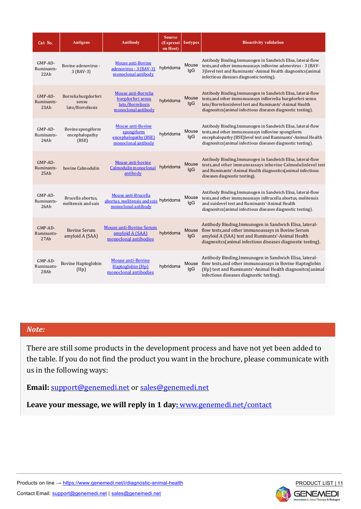| Cat No.                         | <b>Antigens</b>                                   | <b>Antibody</b>                                                                       | <b>Source</b><br>(Expressi<br>on Host) | <b>Isotypes</b> | <b>Bioactivity validation</b>                                                                                                                                                                                                                        |
|---------------------------------|---------------------------------------------------|---------------------------------------------------------------------------------------|----------------------------------------|-----------------|------------------------------------------------------------------------------------------------------------------------------------------------------------------------------------------------------------------------------------------------------|
| GMP-AD-<br>Ruminants-<br>22Ab   | Bovine adenovirus -<br>3 (BAV-3)                  | <b>Mouse anti-Bovine</b><br>adenovirus - 3 (BAV-3)<br>monoclonal antibody             | hybridoma                              | Mouse<br>lgG    | Antibody Binding, Immunogen in Sandwich Elisa, lateral-flow<br>tests, and other immunoassays in Bovine adenovirus - 3 (BAV-<br>3) level test and Ruminants'-Animal Health diagnositcs(animal<br>infectious diseases diagnostic testing).             |
| $GMP-AD-$<br>Ruminants-<br>23Ab | Borrelia burgdorferi<br>sensu<br>lato/Borreliosis | Mouse anti-Borrelia<br>burgdorferi sensu<br>lato/Borreliosis<br>monoclonal antibody   | hybridoma                              | Mouse<br>lgG    | Antibody Binding, Immunogen in Sandwich Elisa, lateral-flow<br>tests, and other immunoassays in Borrelia burgdorferi sensu<br>lato/Borreliosislevel test and Ruminants'-Animal Health<br>diagnositcs(animal infectious diseases diagnostic testing). |
| $GMP-AD-$<br>Ruminants-<br>24Ab | Bovine spongiform<br>encephalopathy<br>(BSE)      | <b>Mouse anti-Bovine</b><br>spongiform<br>encephalopathy (BSE)<br>monoclonal antibody | hybridoma                              | Mouse<br>lgG    | Antibody Binding, Immunogen in Sandwich Elisa, lateral-flow<br>tests, and other immunoassays in Bovine spongiform<br>encephalopathy (BSE)level test and Ruminants'-Animal Health<br>diagnositcs(animal infectious diseases diagnostic testing).      |
| $GMP-AD-$<br>Ruminants-<br>25Ab | bovine Calmodulin                                 | Mouse anti-bovine<br>Calmodulin monoclonal<br>antibody                                | hybridoma                              | Mouse<br>lgG    | Antibody Binding, Immunogen in Sandwich Elisa, lateral-flow<br>tests, and other immunoassays inbovine Calmodulinlevel test<br>and Ruminants'-Animal Health diagnositcs(animal infectious<br>diseases diagnostic testing).                            |
| GMP-AD-<br>Ruminants-<br>26Ab   | Brucella abortus,<br>melitensis and suis          | Mouse anti-Brucella<br>abortus, melitensis and suis hybridoma<br>monoclonal antibody  |                                        | Mouse<br>lgG    | Antibody Binding, Immunogen in Sandwich Elisa, lateral-flow<br>tests, and other immunoassays in Brucella abortus, melitensis<br>and suislevel test and Ruminants'-Animal Health<br>diagnositcs(animal infectious diseases diagnostic testing).       |
| $GMP-AD-$<br>Ruminants-<br>27Ab | <b>Bovine Serum</b><br>amyloid A (SAA)            | <b>Mouse anti-Bovine Serum</b><br>amyloid A (SAA)<br>monoclonal antibodies            | hybridoma                              | Mouse<br>lgG    | Antibody Binding, Immunogen in Sandwich Elisa, lateral-<br>flow tests, and other immunoassays in Bovine Serum<br>amyloid A (SAA) test and Ruminants'-Animal Health<br>diagnositcs (animal infectious diseases diagnostic testing).                   |
| GMP-AD-<br>Ruminants-<br>28Ab   | Bovine Haptoglobin<br>(Hp)                        | <b>Mouse anti-Bovine</b><br>Haptoglobin (Hp)<br>monoclonal antibodies                 | hybridoma                              | Mouse<br>lgG    | Antibody Binding, Immunogen in Sandwich Elisa, lateral-<br>flow tests, and other immunoassays in Bovine Haptoglobin<br>(Hp) test and Ruminants'-Animal Health diagnositcs(animal<br>infectious diseases diagnostic testing).                         |

#### *Note:*

There are still some products in the development process and have not yet been added to the table. If you do not find the product you want in the brochure, please communicate with us in the following ways:

**Email:** support@genemedi.net or sales@genemedi.net

Leave your message, we will reply in 1 day: www.genemedi.net/contact